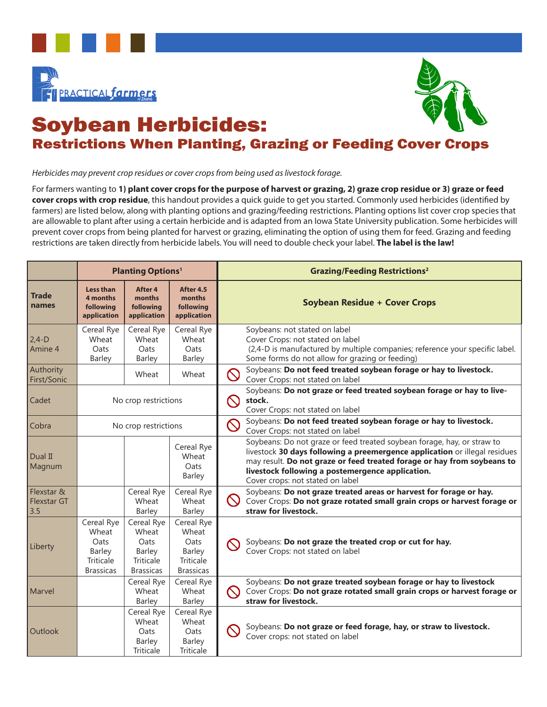



## Soybean Herbicides: Restrictions When Planting, Grazing or Feeding Cover Crops

*Herbicides may prevent crop residues or cover crops from being used as livestock forage.* 

For farmers wanting to **1) plant cover crops for the purpose of harvest or grazing, 2) graze crop residue or 3) graze or feed cover crops with crop residue**, this handout provides a quick guide to get you started. Commonly used herbicides (identified by farmers) are listed below, along with planting options and grazing/feeding restrictions. Planting options list cover crop species that are allowable to plant after using a certain herbicide and is adapted from an Iowa State University publication. Some herbicides will prevent cover crops from being planted for harvest or grazing, eliminating the option of using them for feed. Grazing and feeding restrictions are taken directly from herbicide labels. You will need to double check your label. **The label is the law!** 

|                                  | <b>Planting Options1</b>                                                      |                                                                        |                                                                               | <b>Grazing/Feeding Restrictions<sup>2</sup></b>                                                                                                                 |                                                                                                                                                       |  |
|----------------------------------|-------------------------------------------------------------------------------|------------------------------------------------------------------------|-------------------------------------------------------------------------------|-----------------------------------------------------------------------------------------------------------------------------------------------------------------|-------------------------------------------------------------------------------------------------------------------------------------------------------|--|
| <b>Trade</b><br>names            | Less than<br>4 months<br>following<br>application                             | After 4<br>months<br>following<br>application                          | After 4.5<br>months<br>following<br>application                               | <b>Soybean Residue + Cover Crops</b>                                                                                                                            |                                                                                                                                                       |  |
| $2,4-D$<br>Amine 4               | Cereal Rye<br>Wheat<br>Oats<br><b>Barley</b>                                  | Cereal Rye<br>Wheat<br><b>Oats</b><br><b>Barley</b>                    | Cereal Rye<br>Wheat<br>Oats<br>Barley                                         | Soybeans: not stated on label<br>Cover Crops: not stated on label<br>Some forms do not allow for grazing or feeding)                                            | (2,4-D is manufactured by multiple companies; reference your specific label.                                                                          |  |
| Authority<br>First/Sonic         |                                                                               | Wheat                                                                  | Wheat                                                                         | Soybeans: Do not feed treated soybean forage or hay to livestock.<br>$\bigcirc$<br>Cover Crops: not stated on label                                             |                                                                                                                                                       |  |
| Cadet                            | No crop restrictions                                                          |                                                                        |                                                                               | Soybeans: Do not graze or feed treated soybean forage or hay to live-<br>$\mathcal O$<br>stock.<br>Cover Crops: not stated on label                             |                                                                                                                                                       |  |
| Cobra                            | No crop restrictions                                                          |                                                                        |                                                                               | Soybeans: Do not feed treated soybean forage or hay to livestock.<br>$\bigcirc$<br>Cover Crops: not stated on label                                             |                                                                                                                                                       |  |
| Dual II<br>Magnum                |                                                                               |                                                                        | Cereal Rye<br>Wheat<br>Oats<br>Barley                                         | Soybeans: Do not graze or feed treated soybean forage, hay, or straw to<br>livestock following a postemergence application.<br>Cover crops: not stated on label | livestock 30 days following a preemergence application or illegal residues<br>may result. Do not graze or feed treated forage or hay from soybeans to |  |
| Flexstar &<br>Flexstar GT<br>3.5 |                                                                               | Cereal Rye<br>Wheat<br><b>Barley</b>                                   | Cereal Rye<br>Wheat<br>Barley                                                 | Soybeans: Do not graze treated areas or harvest for forage or hay.<br>$\infty$<br>straw for livestock.                                                          | Cover Crops: Do not graze rotated small grain crops or harvest forage or                                                                              |  |
| Liberty                          | Cereal Rye<br>Wheat<br>Oats<br>Barley<br><b>Triticale</b><br><b>Brassicas</b> | Cereal Rye<br>Wheat<br>Oats<br>Barley<br>Triticale<br><b>Brassicas</b> | Cereal Rye<br>Wheat<br>Oats<br>Barley<br><b>Triticale</b><br><b>Brassicas</b> | Soybeans: Do not graze the treated crop or cut for hay.<br>$\infty$<br>Cover Crops: not stated on label                                                         |                                                                                                                                                       |  |
| Marvel                           |                                                                               | Cereal Rye<br>Wheat<br><b>Barley</b>                                   | Cereal Rye<br>Wheat<br><b>Barley</b>                                          | Soybeans: Do not graze treated soybean forage or hay to livestock<br>$\infty$<br>straw for livestock.                                                           | Cover Crops: Do not graze rotated small grain crops or harvest forage or                                                                              |  |
| <b>Outlook</b>                   |                                                                               | Cereal Rye<br>Wheat<br>Oats<br><b>Barley</b><br>Triticale              | Cereal Rye<br>Wheat<br>Oats<br>Barley<br>Triticale                            | Soybeans: Do not graze or feed forage, hay, or straw to livestock.<br>Cover crops: not stated on label                                                          |                                                                                                                                                       |  |